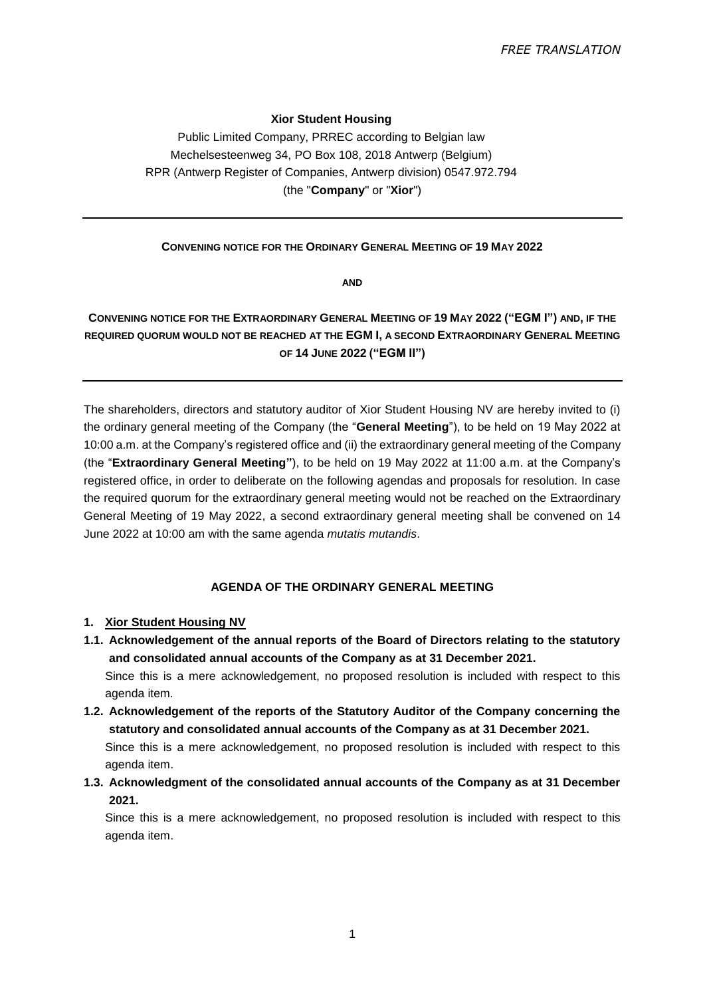## **Xior Student Housing**

Public Limited Company, PRREC according to Belgian law Mechelsesteenweg 34, PO Box 108, 2018 Antwerp (Belgium) RPR (Antwerp Register of Companies, Antwerp division) 0547.972.794 (the "**Company**" or "**Xior**")

### **CONVENING NOTICE FOR THE ORDINARY GENERAL MEETING OF 19 MAY 2022**

**AND** 

# **CONVENING NOTICE FOR THE EXTRAORDINARY GENERAL MEETING OF 19 MAY 2022 ("EGM I") AND, IF THE REQUIRED QUORUM WOULD NOT BE REACHED AT THE EGM I, A SECOND EXTRAORDINARY GENERAL MEETING OF 14 JUNE 2022 ("EGM II")**

The shareholders, directors and statutory auditor of Xior Student Housing NV are hereby invited to (i) the ordinary general meeting of the Company (the "**General Meeting**"), to be held on 19 May 2022 at 10:00 a.m. at the Company's registered office and (ii) the extraordinary general meeting of the Company (the "**Extraordinary General Meeting"**), to be held on 19 May 2022 at 11:00 a.m. at the Company's registered office, in order to deliberate on the following agendas and proposals for resolution. In case the required quorum for the extraordinary general meeting would not be reached on the Extraordinary General Meeting of 19 May 2022, a second extraordinary general meeting shall be convened on 14 June 2022 at 10:00 am with the same agenda *mutatis mutandis*.

### **AGENDA OF THE ORDINARY GENERAL MEETING**

## **1. Xior Student Housing NV**

- **1.1. Acknowledgement of the annual reports of the Board of Directors relating to the statutory and consolidated annual accounts of the Company as at 31 December 2021.** Since this is a mere acknowledgement, no proposed resolution is included with respect to this agenda item*.*
- **1.2. Acknowledgement of the reports of the Statutory Auditor of the Company concerning the statutory and consolidated annual accounts of the Company as at 31 December 2021.** Since this is a mere acknowledgement, no proposed resolution is included with respect to this agenda item.
- **1.3. Acknowledgment of the consolidated annual accounts of the Company as at 31 December 2021.**

Since this is a mere acknowledgement, no proposed resolution is included with respect to this agenda item.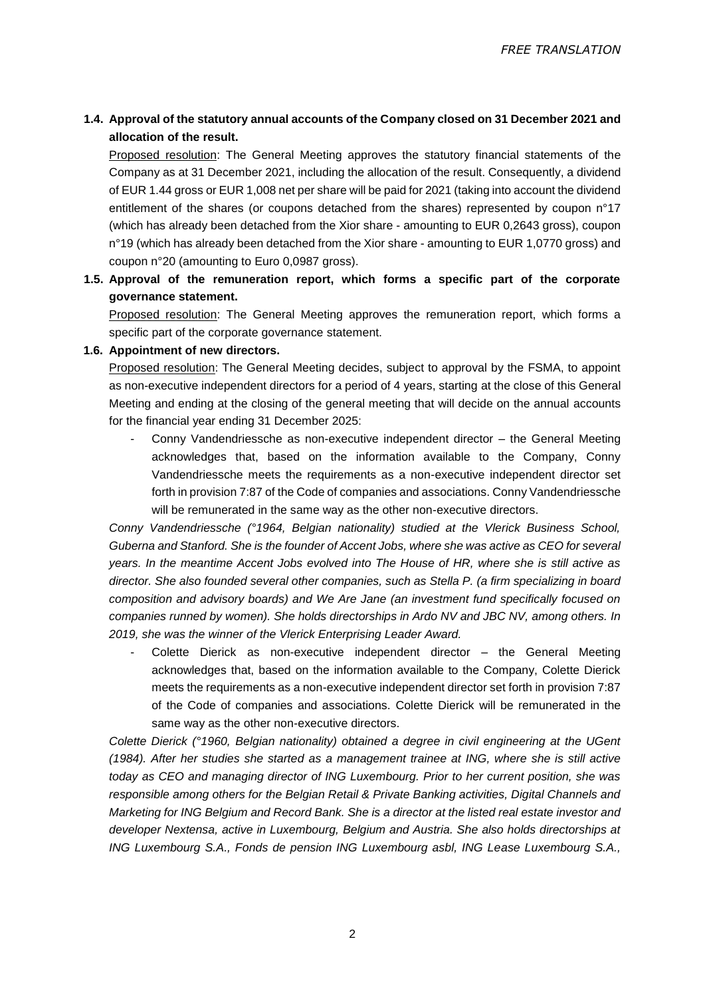## **1.4. Approval of the statutory annual accounts of the Company closed on 31 December 2021 and allocation of the result.**

Proposed resolution: The General Meeting approves the statutory financial statements of the Company as at 31 December 2021, including the allocation of the result. Consequently, a dividend of EUR 1.44 gross or EUR 1,008 net per share will be paid for 2021 (taking into account the dividend entitlement of the shares (or coupons detached from the shares) represented by coupon n°17 (which has already been detached from the Xior share - amounting to EUR 0,2643 gross), coupon n°19 (which has already been detached from the Xior share - amounting to EUR 1,0770 gross) and coupon n°20 (amounting to Euro 0,0987 gross).

**1.5. Approval of the remuneration report, which forms a specific part of the corporate governance statement.**

Proposed resolution: The General Meeting approves the remuneration report, which forms a specific part of the corporate governance statement.

### **1.6. Appointment of new directors.**

Proposed resolution: The General Meeting decides, subject to approval by the FSMA, to appoint as non-executive independent directors for a period of 4 years, starting at the close of this General Meeting and ending at the closing of the general meeting that will decide on the annual accounts for the financial year ending 31 December 2025:

Conny Vandendriessche as non-executive independent director – the General Meeting acknowledges that, based on the information available to the Company, Conny Vandendriessche meets the requirements as a non-executive independent director set forth in provision 7:87 of the Code of companies and associations. Conny Vandendriessche will be remunerated in the same way as the other non-executive directors.

*Conny Vandendriessche (°1964, Belgian nationality) studied at the Vlerick Business School, Guberna and Stanford. She is the founder of Accent Jobs, where she was active as CEO for several years. In the meantime Accent Jobs evolved into The House of HR, where she is still active as director. She also founded several other companies, such as Stella P. (a firm specializing in board composition and advisory boards) and We Are Jane (an investment fund specifically focused on companies runned by women). She holds directorships in Ardo NV and JBC NV, among others. In 2019, she was the winner of the Vlerick Enterprising Leader Award.*

Colette Dierick as non-executive independent director  $-$  the General Meeting acknowledges that, based on the information available to the Company, Colette Dierick meets the requirements as a non-executive independent director set forth in provision 7:87 of the Code of companies and associations. Colette Dierick will be remunerated in the same way as the other non-executive directors.

*Colette Dierick (°1960, Belgian nationality) obtained a degree in civil engineering at the UGent (1984). After her studies she started as a management trainee at ING, where she is still active today as CEO and managing director of ING Luxembourg. Prior to her current position, she was responsible among others for the Belgian Retail & Private Banking activities, Digital Channels and Marketing for ING Belgium and Record Bank. She is a director at the listed real estate investor and developer Nextensa, active in Luxembourg, Belgium and Austria. She also holds directorships at ING Luxembourg S.A., Fonds de pension ING Luxembourg asbl, ING Lease Luxembourg S.A.,*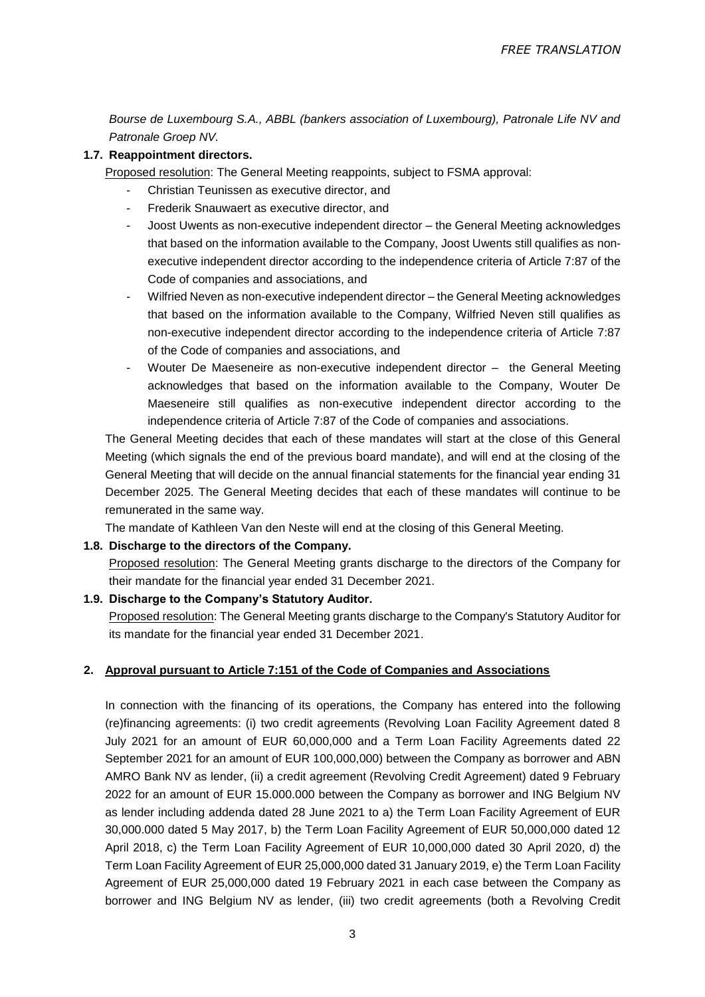*Bourse de Luxembourg S.A., ABBL (bankers association of Luxembourg), Patronale Life NV and Patronale Groep NV.* 

## **1.7. Reappointment directors.**

Proposed resolution: The General Meeting reappoints, subject to FSMA approval:

- Christian Teunissen as executive director, and
- Frederik Snauwaert as executive director, and
- Joost Uwents as non-executive independent director the General Meeting acknowledges that based on the information available to the Company, Joost Uwents still qualifies as nonexecutive independent director according to the independence criteria of Article 7:87 of the Code of companies and associations, and
- Wilfried Neven as non-executive independent director the General Meeting acknowledges that based on the information available to the Company, Wilfried Neven still qualifies as non-executive independent director according to the independence criteria of Article 7:87 of the Code of companies and associations, and
- Wouter De Maeseneire as non-executive independent director the General Meeting acknowledges that based on the information available to the Company, Wouter De Maeseneire still qualifies as non-executive independent director according to the independence criteria of Article 7:87 of the Code of companies and associations.

The General Meeting decides that each of these mandates will start at the close of this General Meeting (which signals the end of the previous board mandate), and will end at the closing of the General Meeting that will decide on the annual financial statements for the financial year ending 31 December 2025. The General Meeting decides that each of these mandates will continue to be remunerated in the same way.

The mandate of Kathleen Van den Neste will end at the closing of this General Meeting.

## **1.8. Discharge to the directors of the Company.**

Proposed resolution: The General Meeting grants discharge to the directors of the Company for their mandate for the financial year ended 31 December 2021.

### **1.9. Discharge to the Company's Statutory Auditor.**

Proposed resolution: The General Meeting grants discharge to the Company's Statutory Auditor for its mandate for the financial year ended 31 December 2021.

### **2. Approval pursuant to Article 7:151 of the Code of Companies and Associations**

In connection with the financing of its operations, the Company has entered into the following (re)financing agreements: (i) two credit agreements (Revolving Loan Facility Agreement dated 8 July 2021 for an amount of EUR 60,000,000 and a Term Loan Facility Agreements dated 22 September 2021 for an amount of EUR 100,000,000) between the Company as borrower and ABN AMRO Bank NV as lender, (ii) a credit agreement (Revolving Credit Agreement) dated 9 February 2022 for an amount of EUR 15.000.000 between the Company as borrower and ING Belgium NV as lender including addenda dated 28 June 2021 to a) the Term Loan Facility Agreement of EUR 30,000.000 dated 5 May 2017, b) the Term Loan Facility Agreement of EUR 50,000,000 dated 12 April 2018, c) the Term Loan Facility Agreement of EUR 10,000,000 dated 30 April 2020, d) the Term Loan Facility Agreement of EUR 25,000,000 dated 31 January 2019, e) the Term Loan Facility Agreement of EUR 25,000,000 dated 19 February 2021 in each case between the Company as borrower and ING Belgium NV as lender, (iii) two credit agreements (both a Revolving Credit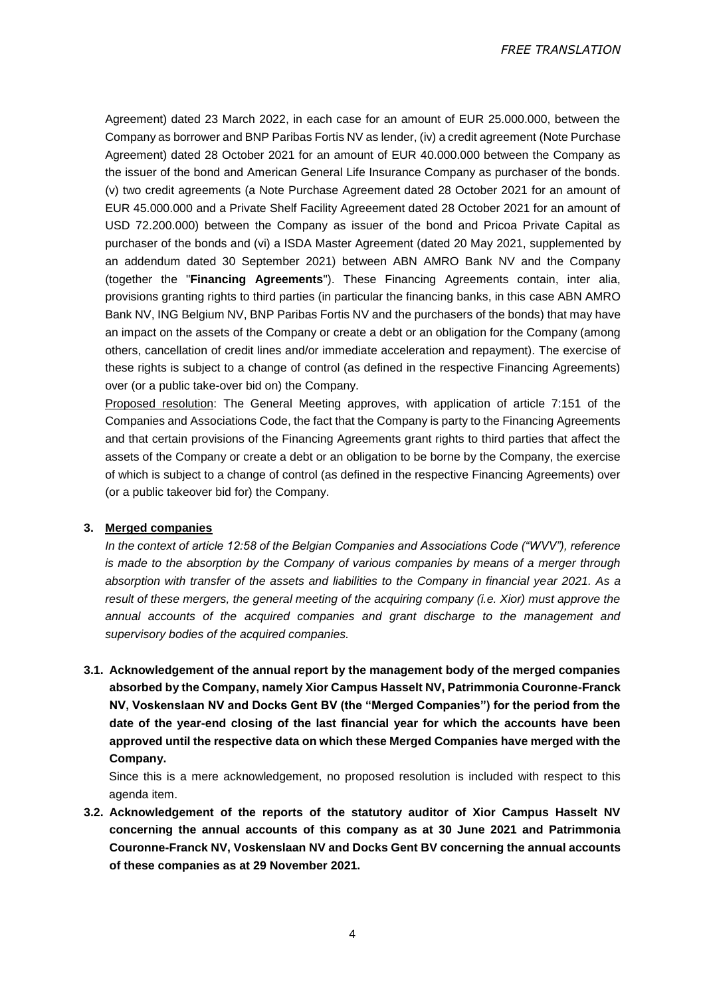*FREE TRANSLATION*

Agreement) dated 23 March 2022, in each case for an amount of EUR 25.000.000, between the Company as borrower and BNP Paribas Fortis NV as lender, (iv) a credit agreement (Note Purchase Agreement) dated 28 October 2021 for an amount of EUR 40.000.000 between the Company as the issuer of the bond and American General Life Insurance Company as purchaser of the bonds. (v) two credit agreements (a Note Purchase Agreement dated 28 October 2021 for an amount of EUR 45.000.000 and a Private Shelf Facility Agreeement dated 28 October 2021 for an amount of USD 72.200.000) between the Company as issuer of the bond and Pricoa Private Capital as purchaser of the bonds and (vi) a ISDA Master Agreement (dated 20 May 2021, supplemented by an addendum dated 30 September 2021) between ABN AMRO Bank NV and the Company (together the "**Financing Agreements**"). These Financing Agreements contain, inter alia, provisions granting rights to third parties (in particular the financing banks, in this case ABN AMRO Bank NV, ING Belgium NV, BNP Paribas Fortis NV and the purchasers of the bonds) that may have an impact on the assets of the Company or create a debt or an obligation for the Company (among others, cancellation of credit lines and/or immediate acceleration and repayment). The exercise of these rights is subject to a change of control (as defined in the respective Financing Agreements) over (or a public take-over bid on) the Company.

Proposed resolution: The General Meeting approves, with application of article 7:151 of the Companies and Associations Code, the fact that the Company is party to the Financing Agreements and that certain provisions of the Financing Agreements grant rights to third parties that affect the assets of the Company or create a debt or an obligation to be borne by the Company, the exercise of which is subject to a change of control (as defined in the respective Financing Agreements) over (or a public takeover bid for) the Company.

#### **3. Merged companies**

*In the context of article 12:58 of the Belgian Companies and Associations Code ("WVV"), reference is made to the absorption by the Company of various companies by means of a merger through absorption with transfer of the assets and liabilities to the Company in financial year 2021. As a result of these mergers, the general meeting of the acquiring company (i.e. Xior) must approve the annual accounts of the acquired companies and grant discharge to the management and supervisory bodies of the acquired companies.*

**3.1. Acknowledgement of the annual report by the management body of the merged companies absorbed by the Company, namely Xior Campus Hasselt NV, Patrimmonia Couronne-Franck NV, Voskenslaan NV and Docks Gent BV (the "Merged Companies") for the period from the date of the year-end closing of the last financial year for which the accounts have been approved until the respective data on which these Merged Companies have merged with the Company.** 

Since this is a mere acknowledgement, no proposed resolution is included with respect to this agenda item.

**3.2. Acknowledgement of the reports of the statutory auditor of Xior Campus Hasselt NV concerning the annual accounts of this company as at 30 June 2021 and Patrimmonia Couronne-Franck NV, Voskenslaan NV and Docks Gent BV concerning the annual accounts of these companies as at 29 November 2021.**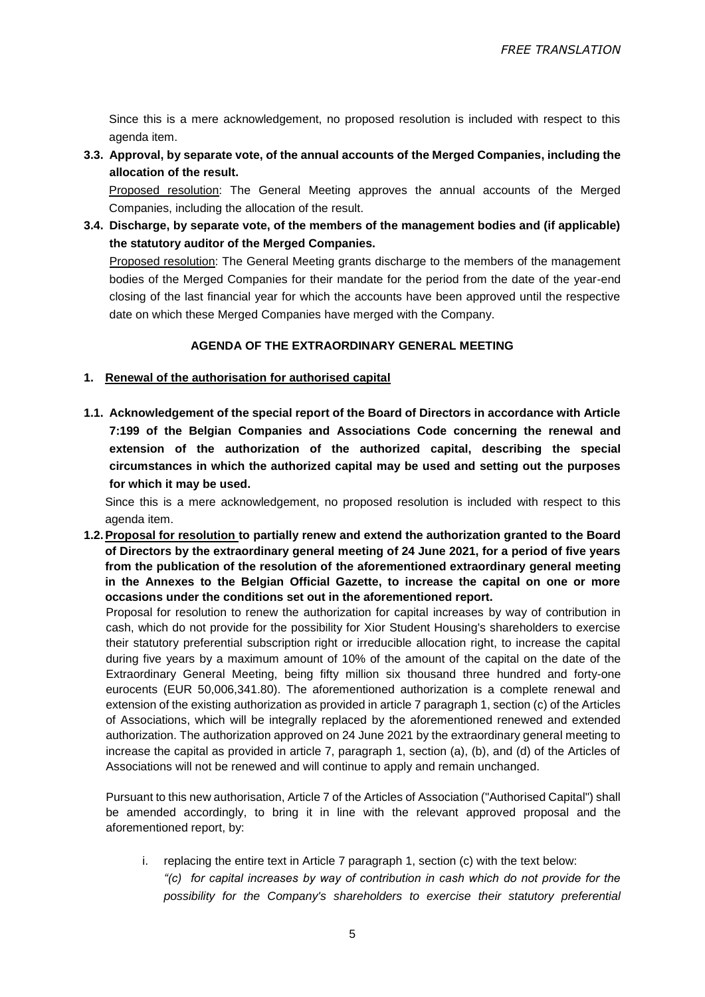Since this is a mere acknowledgement, no proposed resolution is included with respect to this agenda item.

**3.3. Approval, by separate vote, of the annual accounts of the Merged Companies, including the allocation of the result.**

Proposed resolution: The General Meeting approves the annual accounts of the Merged Companies, including the allocation of the result.

**3.4. Discharge, by separate vote, of the members of the management bodies and (if applicable) the statutory auditor of the Merged Companies.** 

Proposed resolution: The General Meeting grants discharge to the members of the management bodies of the Merged Companies for their mandate for the period from the date of the year-end closing of the last financial year for which the accounts have been approved until the respective date on which these Merged Companies have merged with the Company.

## **AGENDA OF THE EXTRAORDINARY GENERAL MEETING**

- **1. Renewal of the authorisation for authorised capital**
- **1.1. Acknowledgement of the special report of the Board of Directors in accordance with Article 7:199 of the Belgian Companies and Associations Code concerning the renewal and extension of the authorization of the authorized capital, describing the special circumstances in which the authorized capital may be used and setting out the purposes for which it may be used.**

Since this is a mere acknowledgement, no proposed resolution is included with respect to this agenda item.

**1.2.Proposal for resolution to partially renew and extend the authorization granted to the Board of Directors by the extraordinary general meeting of 24 June 2021, for a period of five years from the publication of the resolution of the aforementioned extraordinary general meeting in the Annexes to the Belgian Official Gazette, to increase the capital on one or more occasions under the conditions set out in the aforementioned report.**

Proposal for resolution to renew the authorization for capital increases by way of contribution in cash, which do not provide for the possibility for Xior Student Housing's shareholders to exercise their statutory preferential subscription right or irreducible allocation right, to increase the capital during five years by a maximum amount of 10% of the amount of the capital on the date of the Extraordinary General Meeting, being fifty million six thousand three hundred and forty-one eurocents (EUR 50,006,341.80). The aforementioned authorization is a complete renewal and extension of the existing authorization as provided in article 7 paragraph 1, section (c) of the Articles of Associations, which will be integrally replaced by the aforementioned renewed and extended authorization. The authorization approved on 24 June 2021 by the extraordinary general meeting to increase the capital as provided in article 7, paragraph 1, section (a), (b), and (d) of the Articles of Associations will not be renewed and will continue to apply and remain unchanged.

Pursuant to this new authorisation, Article 7 of the Articles of Association ("Authorised Capital") shall be amended accordingly, to bring it in line with the relevant approved proposal and the aforementioned report, by:

i. replacing the entire text in Article 7 paragraph 1, section (c) with the text below: *"(c) for capital increases by way of contribution in cash which do not provide for the possibility for the Company's shareholders to exercise their statutory preferential*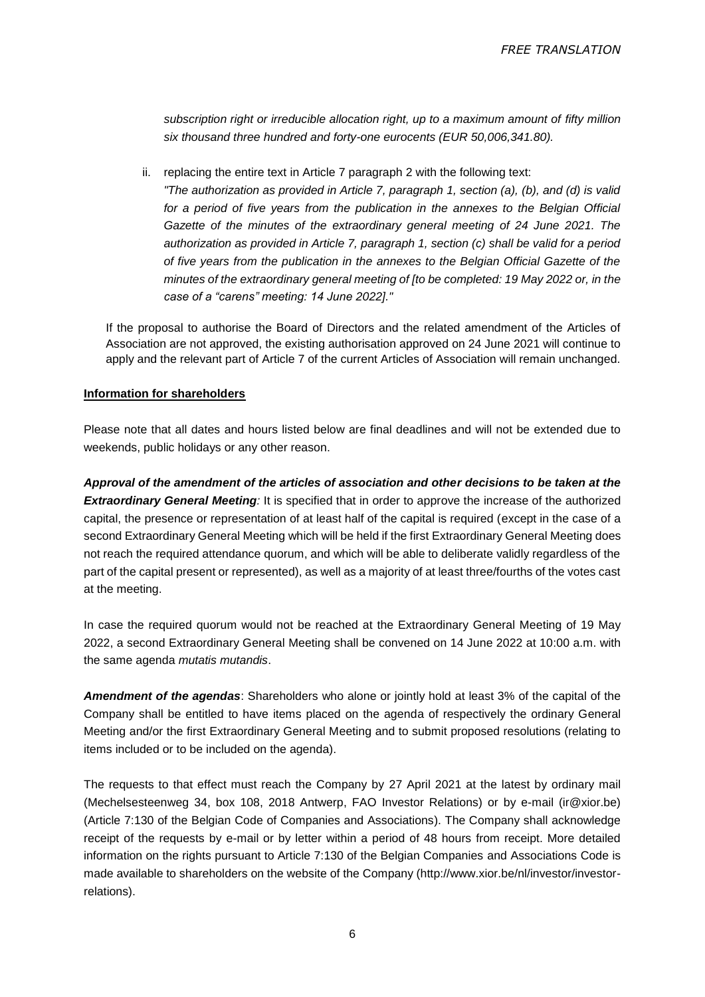*subscription right or irreducible allocation right, up to a maximum amount of fifty million six thousand three hundred and forty-one eurocents (EUR 50,006,341.80).*

ii. replacing the entire text in Article 7 paragraph 2 with the following text:

*"The authorization as provided in Article 7, paragraph 1, section (a), (b), and (d) is valid for a period of five years from the publication in the annexes to the Belgian Official Gazette of the minutes of the extraordinary general meeting of 24 June 2021. The authorization as provided in Article 7, paragraph 1, section (c) shall be valid for a period of five years from the publication in the annexes to the Belgian Official Gazette of the minutes of the extraordinary general meeting of [to be completed: 19 May 2022 or, in the case of a "carens" meeting: 14 June 2022]."*

If the proposal to authorise the Board of Directors and the related amendment of the Articles of Association are not approved, the existing authorisation approved on 24 June 2021 will continue to apply and the relevant part of Article 7 of the current Articles of Association will remain unchanged.

### **Information for shareholders**

Please note that all dates and hours listed below are final deadlines and will not be extended due to weekends, public holidays or any other reason.

*Approval of the amendment of the articles of association and other decisions to be taken at the Extraordinary General Meeting:* It is specified that in order to approve the increase of the authorized capital, the presence or representation of at least half of the capital is required (except in the case of a second Extraordinary General Meeting which will be held if the first Extraordinary General Meeting does not reach the required attendance quorum, and which will be able to deliberate validly regardless of the part of the capital present or represented), as well as a majority of at least three/fourths of the votes cast at the meeting.

In case the required quorum would not be reached at the Extraordinary General Meeting of 19 May 2022, a second Extraordinary General Meeting shall be convened on 14 June 2022 at 10:00 a.m. with the same agenda *mutatis mutandis*.

*Amendment of the agendas*: Shareholders who alone or jointly hold at least 3% of the capital of the Company shall be entitled to have items placed on the agenda of respectively the ordinary General Meeting and/or the first Extraordinary General Meeting and to submit proposed resolutions (relating to items included or to be included on the agenda).

The requests to that effect must reach the Company by 27 April 2021 at the latest by ordinary mail (Mechelsesteenweg 34, box 108, 2018 Antwerp, FAO Investor Relations) or by e-mail (ir@xior.be) (Article 7:130 of the Belgian Code of Companies and Associations). The Company shall acknowledge receipt of the requests by e-mail or by letter within a period of 48 hours from receipt. More detailed information on the rights pursuant to Article 7:130 of the Belgian Companies and Associations Code is made available to shareholders on the website of the Company (http://www.xior.be/nl/investor/investorrelations).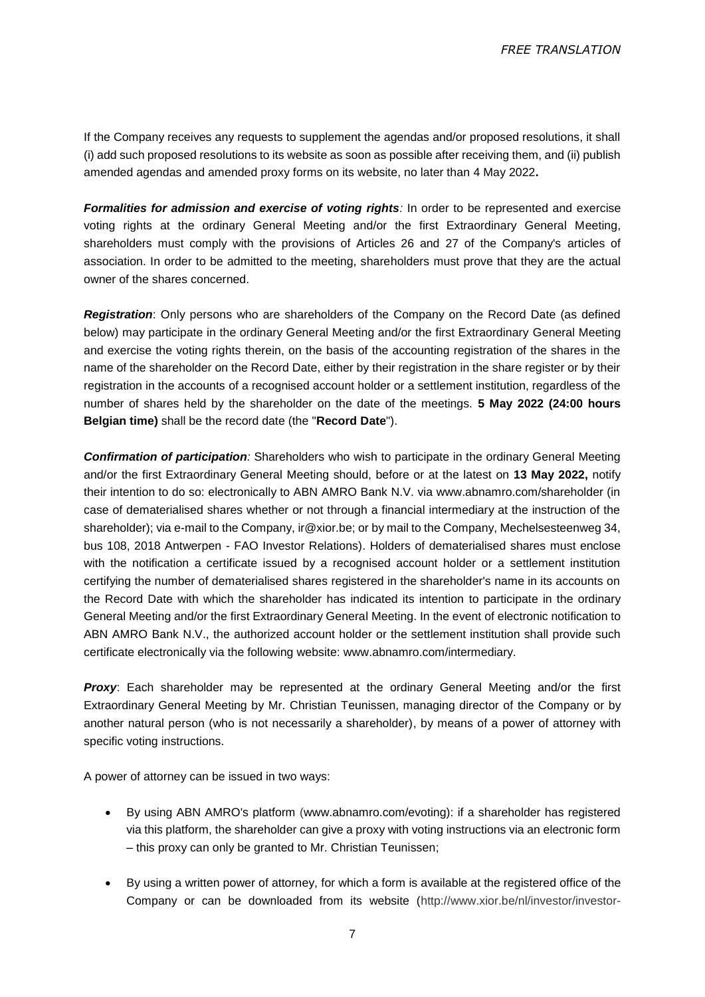If the Company receives any requests to supplement the agendas and/or proposed resolutions, it shall (i) add such proposed resolutions to its website as soon as possible after receiving them, and (ii) publish amended agendas and amended proxy forms on its website, no later than 4 May 2022**.**

**Formalities for admission and exercise of voting rights**: In order to be represented and exercise voting rights at the ordinary General Meeting and/or the first Extraordinary General Meeting, shareholders must comply with the provisions of Articles 26 and 27 of the Company's articles of association. In order to be admitted to the meeting, shareholders must prove that they are the actual owner of the shares concerned.

*Registration*: Only persons who are shareholders of the Company on the Record Date (as defined below) may participate in the ordinary General Meeting and/or the first Extraordinary General Meeting and exercise the voting rights therein, on the basis of the accounting registration of the shares in the name of the shareholder on the Record Date, either by their registration in the share register or by their registration in the accounts of a recognised account holder or a settlement institution, regardless of the number of shares held by the shareholder on the date of the meetings. **5 May 2022 (24:00 hours Belgian time)** shall be the record date (the "**Record Date**").

*Confirmation of participation:* Shareholders who wish to participate in the ordinary General Meeting and/or the first Extraordinary General Meeting should, before or at the latest on **13 May 2022,** notify their intention to do so: electronically to ABN AMRO Bank N.V. via www.abnamro.com/shareholder (in case of dematerialised shares whether or not through a financial intermediary at the instruction of the shareholder); via e-mail to the Company, ir@xior.be; or by mail to the Company, Mechelsesteenweg 34, bus 108, 2018 Antwerpen - FAO Investor Relations). Holders of dematerialised shares must enclose with the notification a certificate issued by a recognised account holder or a settlement institution certifying the number of dematerialised shares registered in the shareholder's name in its accounts on the Record Date with which the shareholder has indicated its intention to participate in the ordinary General Meeting and/or the first Extraordinary General Meeting. In the event of electronic notification to ABN AMRO Bank N.V., the authorized account holder or the settlement institution shall provide such certificate electronically via the following website: www.abnamro.com/intermediary.

**Proxy:** Each shareholder may be represented at the ordinary General Meeting and/or the first Extraordinary General Meeting by Mr. Christian Teunissen, managing director of the Company or by another natural person (who is not necessarily a shareholder), by means of a power of attorney with specific voting instructions.

A power of attorney can be issued in two ways:

- By using ABN AMRO's platform [\(w](http://www.abnamro.com/shareholder)ww.abnamro.com/evoting): if a shareholder has registered via this platform, the shareholder can give a proxy with voting instructions via an electronic form – this proxy can only be granted to Mr. Christian Teunissen;
- By using a written power of attorney, for which a form is available at the registered office of the Company or can be downloaded from its website [\(http://www.xior.be/nl/investor/investor-](http://www.xior.be/nl/investor/investor-relations)